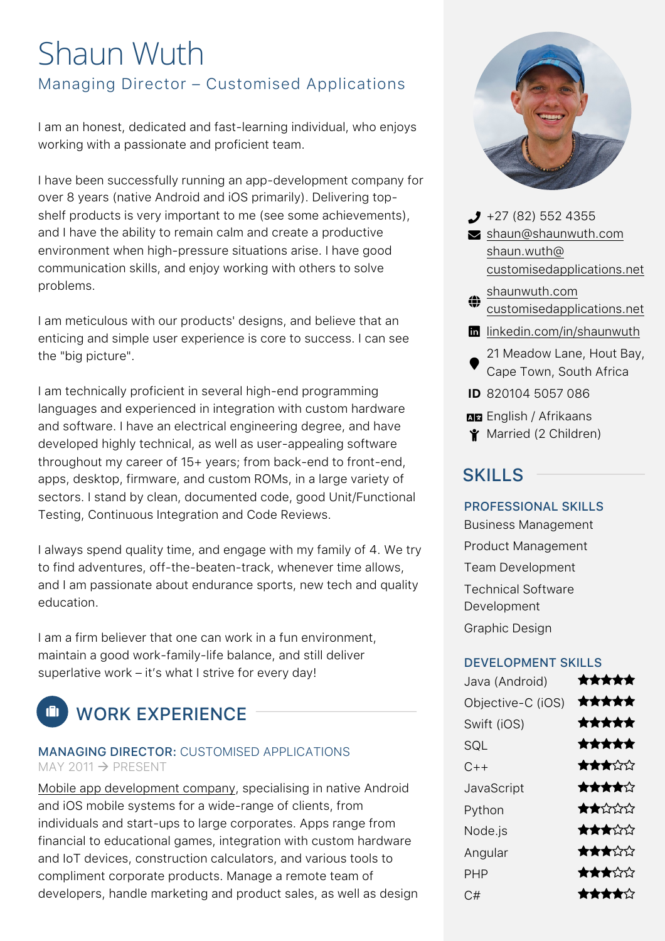# Shaun Wuth Managing Director – Customised Applications

I am an honest, dedicated and fast-learning individual, who enjoys working with a passionate and proficient team.

I have been successfully running an app-development company for over 8 years (native Android and iOS primarily). Delivering topshelf products is very important to me (see some achievements), and I have the ability to remain calm and create a productive environment when high-pressure situations arise. I have good communication skills, and enjoy working with others to solve problems.

I am meticulous with our products' designs, and believe that an enticing and simple user experience is core to success. I can see the "big picture".

I am technically proficient in several high-end programming languages and experienced in integration with custom hardware and software. I have an electrical engineering degree, and have developed highly technical, as well as user-appealing software throughout my career of 15+ years; from back-end to front-end, apps, desktop, firmware, and custom ROMs, in a large variety of sectors. I stand by clean, documented code, good Unit/Functional Testing, Continuous Integration and Code Reviews.

I always spend quality time, and engage with my family of 4. We try to find adventures, off-the-beaten-track, whenever time allows, and I am passionate about endurance sports, new tech and quality education.

I am a firm believer that one can work in a fun environment, maintain a good work-family-life balance, and still deliver superlative work – it's what I strive for every day!

# **EL WORK EXPERIENCE**

### MANAGING DIRECTOR: CUSTOMISED APPLICATIONS  $MAY$  2011  $\rightarrow$  PRESENT

Mobile app development company, specialising in native Android and iOS mobile systems for a wide-range of clients, from individuals and start-ups to large corporates. Apps range from financial to educational games, integration with custom hardware and IoT devices, construction calculators, and various tools to compliment corporate products. Manage a remote team of developers, handle marketing and product sales, as well as design



- $\bigcup$  +27 (82) 552 4355  $\blacktriangleright$  shaun@shaunwuth.com shaun.wuth@ customisedapplications.net
- ₩ shaunwuth.com customisedapplications.net
- **in** linkedin.com/in/shaunwuth
- 21 Meadow Lane, Hout Bay, Cape Town, South Africa
- **ID** 820104 5057 086
- **NE** English / Afrikaans
- **Y** Married (2 Children)

## SKILLS

## PROFESSIONAL SKILLS

Business Management Product Management Team Development Technical Software Development Graphic Design

### DEVELOPMENT SKILLS

| Java (Android)    | ★★★★★                                                |
|-------------------|------------------------------------------------------|
| Objective-C (iOS) | *****                                                |
| Swift (iOS)       | *****                                                |
| SQL               | *****                                                |
| $C++$             | ★★★☆☆                                                |
| JavaScript        | *****                                                |
| Python            | $\bigstar \star \mathcal{L} \mathcal{L} \mathcal{L}$ |
| Node.js           | ★★★☆☆                                                |
| Angular           | ★★★☆☆                                                |
| <b>PHP</b>        | ★★★☆☆                                                |
| C#                | ★★★★☆                                                |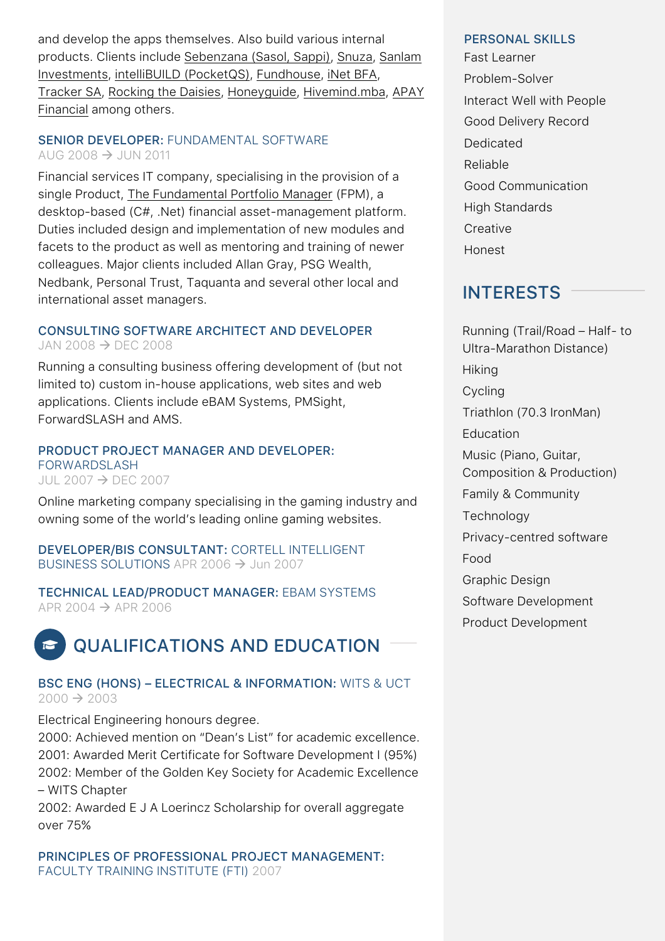and develop the apps themselves. Also build various internal products. Clients include Sebenzana (Sasol, Sappi), Snuza, Sanlam Investments, intelliBUILD (PocketQS), Fundhouse, iNet BFA, Tracker SA, Rocking the Daisies, Honeyguide, Hivemind.mba, APAY Financial among others.

#### SENIOR DEVELOPER: FUNDAMENTAL SOFTWARE AUG 2008  $\rightarrow$  JUN 2011

Financial services IT company, specialising in the provision of a single Product, The Fundamental Portfolio Manager (FPM), a desktop-based (C#, .Net) financial asset-management platform. Duties included design and implementation of new modules and facets to the product as well as mentoring and training of newer colleagues. Major clients included Allan Gray, PSG Wealth, Nedbank, Personal Trust, Taquanta and several other local and international asset managers.

#### CONSULTING SOFTWARE ARCHITECT AND DEVELOPER JAN 2008  $\rightarrow$  DEC 2008

Running a consulting business offering development of (but not limited to) custom in-house applications, web sites and web applications. Clients include eBAM Systems, PMSight, ForwardSLASH and AMS.

#### PRODUCT PROJECT MANAGER AND DEVELOPER: FORWARDSLASH JUL 2007  $\rightarrow$  DEC 2007

Online marketing company specialising in the gaming industry and owning some of the world's leading online gaming websites.

DEVELOPER/BIS CONSULTANT: CORTELL INTELLIGENT BUSINESS SOLUTIONS APR 2006  $\rightarrow$  Jun 2007

TECHNICAL LEAD/PRODUCT MANAGER: EBAM SYSTEMS APR 2004  $\rightarrow$  APR 2006

#### QUALIFICATIONS AND EDUCATION **P**

### BSC ENG (HONS) – ELECTRICAL & INFORMATION: WITS & UCT  $2000 \rightarrow 2003$

Electrical Engineering honours degree.

2000: Achieved mention on "Dean's List" for academic excellence. 2001: Awarded Merit Certificate for Software Development I (95%) 2002: Member of the Golden Key Society for Academic Excellence – WITS Chapter

2002: Awarded E J A Loerincz Scholarship for overall aggregate over 75%

PRINCIPLES OF PROFESSIONAL PROJECT MANAGEMENT: FACULTY TRAINING INSTITUTE (FTI) 2007

#### PERSONAL SKILLS

Fast Learner Problem-Solver Interact Well with People Good Delivery Record Dedicated Reliable Good Communication High Standards **Creative** Honest

## INTERESTS

Running (Trail/Road – Half- to Ultra-Marathon Distance) **Hiking** Cycling Triathlon (70.3 IronMan) Education Music (Piano, Guitar, Composition & Production) Family & Community Technology Privacy-centred software Food Graphic Design Software Development Product Development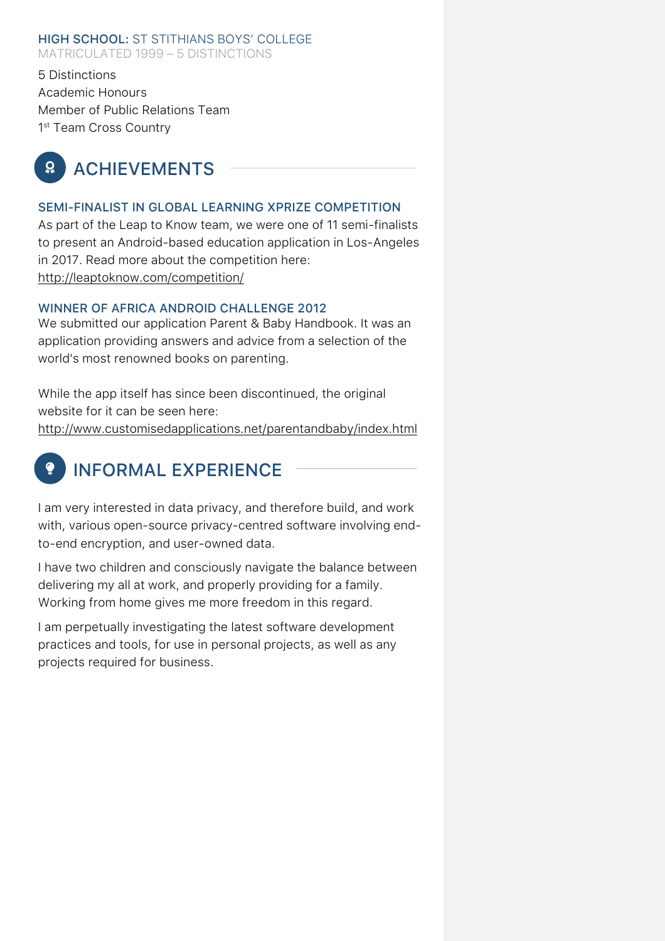#### HIGH SCHOOL: ST STITHIANS BOYS' COLLEGE MATRICULATED 1999 – 5 DISTINCTIONS

5 Distinctions Academic Honours Member of Public Relations Team 1<sup>st</sup> Team Cross Country

#### ACHIEVEMENTS  $\Omega$

### SEMI-FINALIST IN GLOBAL LEARNING XPRIZE COMPETITION

As part of the Leap to Know team, we were one of 11 semi-finalists to present an Android-based education application in Los-Angeles in 2017. Read more about the competition here: http://leaptoknow.com/competition/

#### WINNER OF AFRICA ANDROID CHALLENGE 2012

We submitted our application Parent & Baby Handbook. It was an application providing answers and advice from a selection of the world's most renowned books on parenting.

While the app itself has since been discontinued, the original website for it can be seen here:

http://www.customisedapplications.net/parentandbaby/index.html

#### INFORMAL EXPERIENCE  $\bullet$

I am very interested in data privacy, and therefore build, and work with, various open-source privacy-centred software involving endto-end encryption, and user-owned data.

I have two children and consciously navigate the balance between delivering my all at work, and properly providing for a family. Working from home gives me more freedom in this regard.

I am perpetually investigating the latest software development practices and tools, for use in personal projects, as well as any projects required for business.